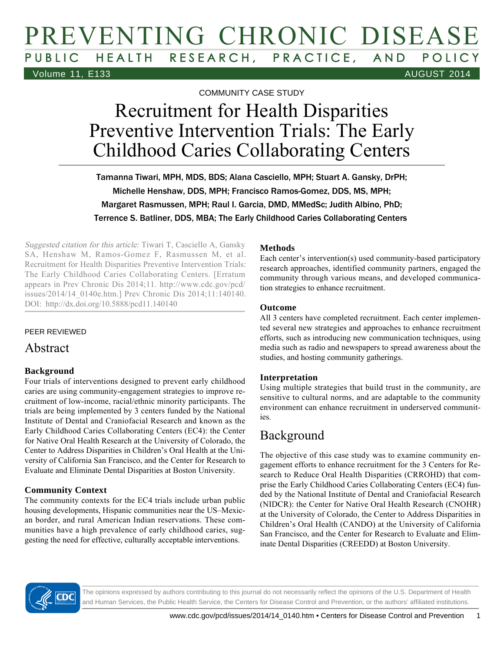# PREVENTING CHRONIC DISEASE HEALTH RESEARCH, PRACTICE, AND POLICY Volume 11, E133 AUGUST 2014

COMMUNITY CASE STUDY

# Recruitment for Health Disparities Preventive Intervention Trials: The Early Childhood Caries Collaborating Centers

Tamanna Tiwari, MPH, MDS, BDS; Alana Casciello, MPH; Stuart A. Gansky, DrPH; Michelle Henshaw, DDS, MPH; Francisco Ramos-Gomez, DDS, MS, MPH; Margaret Rasmussen, MPH; Raul I. Garcia, DMD, MMedSc; Judith Albino, PhD; Terrence S. Batliner, DDS, MBA; The Early Childhood Caries Collaborating Centers

Suggested citation for this article: Tiwari T, Casciello A, Gansky SA, Henshaw M, Ramos-Gomez F, Rasmussen M, et al. Recruitment for Health Disparities Preventive Intervention Trials: The Early Childhood Caries Collaborating Centers. [Erratum appears in Prev Chronic Dis 2014;11. http://www.cdc.gov/pcd/ issues/2014/14\_0140e.htm.] Prev Chronic Dis 2014;11:140140. DOI: http://dx.doi.org/10.5888/pcd11.140140

### PEER REVIEWED

### Abstract

### **Background**

Four trials of interventions designed to prevent early childhood caries are using community-engagement strategies to improve recruitment of low-income, racial/ethnic minority participants. The trials are being implemented by 3 centers funded by the National Institute of Dental and Craniofacial Research and known as the Early Childhood Caries Collaborating Centers (EC4): the Center for Native Oral Health Research at the University of Colorado, the Center to Address Disparities in Children's Oral Health at the University of California San Francisco, and the Center for Research to Evaluate and Eliminate Dental Disparities at Boston University.

### **Community Context**

The community contexts for the EC4 trials include urban public housing developments, Hispanic communities near the US–Mexican border, and rural American Indian reservations. These communities have a high prevalence of early childhood caries, suggesting the need for effective, culturally acceptable interventions.

### **Methods**

Each center's intervention(s) used community-based participatory research approaches, identified community partners, engaged the community through various means, and developed communication strategies to enhance recruitment.

### **Outcome**

All 3 centers have completed recruitment. Each center implemented several new strategies and approaches to enhance recruitment efforts, such as introducing new communication techniques, using media such as radio and newspapers to spread awareness about the studies, and hosting community gatherings.

#### **Interpretation**

Using multiple strategies that build trust in the community, are sensitive to cultural norms, and are adaptable to the community environment can enhance recruitment in underserved communities.

### Background

The objective of this case study was to examine community engagement efforts to enhance recruitment for the 3 Centers for Research to Reduce Oral Health Disparities (CRROHD) that comprise the Early Childhood Caries Collaborating Centers (EC4) funded by the National Institute of Dental and Craniofacial Research (NIDCR): the Center for Native Oral Health Research (CNOHR) at the University of Colorado, the Center to Address Disparities in Children's Oral Health (CANDO) at the University of California San Francisco, and the Center for Research to Evaluate and Eliminate Dental Disparities (CREEDD) at Boston University.

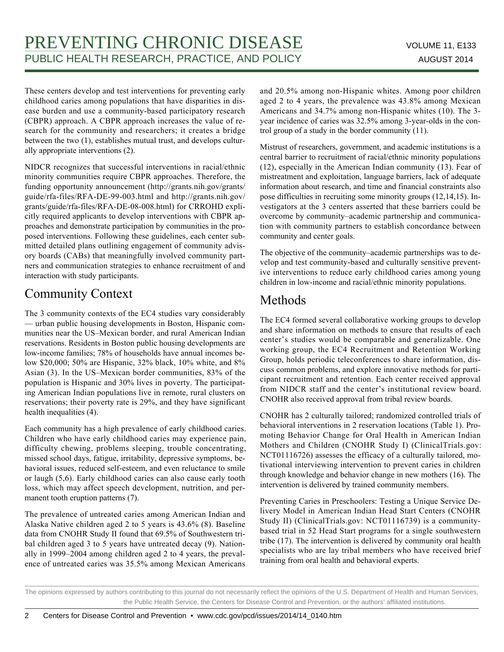These centers develop and test interventions for preventing early childhood caries among populations that have disparities in disease burden and use a community-based participatory research (CBPR) approach. A CBPR approach increases the value of research for the community and researchers; it creates a bridge between the two (1), establishes mutual trust, and develops culturally appropriate interventions (2).

NIDCR recognizes that successful interventions in racial/ethnic minority communities require CBPR approaches. Therefore, the funding opportunity announcement (http://grants.nih.gov/grants/ guide/rfa-files/RFA-DE-99-003.html and http://grants.nih.gov/ grants/guide/rfa-files/RFA-DE-08-008.html) for CRROHD explicitly required applicants to develop interventions with CBPR approaches and demonstrate participation by communities in the proposed interventions. Following these guidelines, each center submitted detailed plans outlining engagement of community advisory boards (CABs) that meaningfully involved community partners and communication strategies to enhance recruitment of and interaction with study participants.

# Community Context

The 3 community contexts of the EC4 studies vary considerably — urban public housing developments in Boston, Hispanic communities near the US–Mexican border, and rural American Indian reservations. Residents in Boston public housing developments are low-income families; 78% of households have annual incomes below \$20,000; 50% are Hispanic, 32% black, 10% white, and 8% Asian (3). In the US–Mexican border communities, 83% of the population is Hispanic and 30% lives in poverty. The participating American Indian populations live in remote, rural clusters on reservations; their poverty rate is 29%, and they have significant health inequalities (4).

Each community has a high prevalence of early childhood caries. Children who have early childhood caries may experience pain, difficulty chewing, problems sleeping, trouble concentrating, missed school days, fatigue, irritability, depressive symptoms, behavioral issues, reduced self-esteem, and even reluctance to smile or laugh (5,6). Early childhood caries can also cause early tooth loss, which may affect speech development, nutrition, and permanent tooth eruption patterns (7).

The prevalence of untreated caries among American Indian and Alaska Native children aged 2 to 5 years is 43.6% (8). Baseline data from CNOHR Study II found that 69.5% of Southwestern tribal children aged 3 to 5 years have untreated decay (9). Nationally in 1999–2004 among children aged 2 to 4 years, the prevalence of untreated caries was 35.5% among Mexican Americans and 20.5% among non-Hispanic whites. Among poor children aged 2 to 4 years, the prevalence was 43.8% among Mexican Americans and 34.7% among non-Hispanic whites (10). The 3 year incidence of caries was 32.5% among 3-year-olds in the control group of a study in the border community (11).

Mistrust of researchers, government, and academic institutions is a central barrier to recruitment of racial/ethnic minority populations (12), especially in the American Indian community (13). Fear of mistreatment and exploitation, language barriers, lack of adequate information about research, and time and financial constraints also pose difficulties in recruiting some minority groups (12,14,15). Investigators at the 3 centers asserted that these barriers could be overcome by community–academic partnership and communication with community partners to establish concordance between community and center goals.

The objective of the community–academic partnerships was to develop and test community-based and culturally sensitive preventive interventions to reduce early childhood caries among young children in low-income and racial/ethnic minority populations.

# Methods

The EC4 formed several collaborative working groups to develop and share information on methods to ensure that results of each center's studies would be comparable and generalizable. One working group, the EC4 Recruitment and Retention Working Group, holds periodic teleconferences to share information, discuss common problems, and explore innovative methods for participant recruitment and retention. Each center received approval from NIDCR staff and the center's institutional review board. CNOHR also received approval from tribal review boards.

CNOHR has 2 culturally tailored; randomized controlled trials of behavioral interventions in 2 reservation locations (Table 1). Promoting Behavior Change for Oral Health in American Indian Mothers and Children (CNOHR Study I) (ClinicalTrials.gov: NCT01116726) assesses the efficacy of a culturally tailored, motivational interviewing intervention to prevent caries in children through knowledge and behavior change in new mothers (16). The intervention is delivered by trained community members.

Preventing Caries in Preschoolers: Testing a Unique Service Delivery Model in American Indian Head Start Centers (CNOHR Study II) (ClinicalTrials.gov: NCT01116739) is a communitybased trial in 52 Head Start programs for a single southwestern tribe (17). The intervention is delivered by community oral health specialists who are lay tribal members who have received brief training from oral health and behavioral experts.

The opinions expressed by authors contributing to this journal do not necessarily reflect the opinions of the U.S. Department of Health and Human Services, the Public Health Service, the Centers for Disease Control and Prevention, or the authors' affiliated institutions.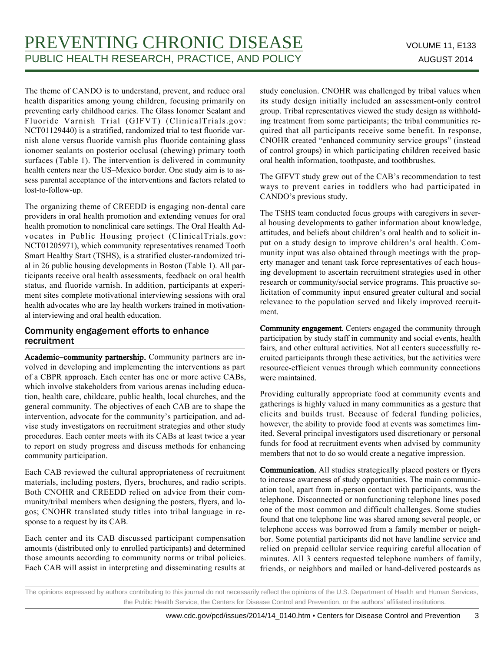The theme of CANDO is to understand, prevent, and reduce oral health disparities among young children, focusing primarily on preventing early childhood caries. The Glass Ionomer Sealant and Fluoride Varnish Trial (GIFVT) (ClinicalTrials.gov: NCT01129440) is a stratified, randomized trial to test fluoride varnish alone versus fluoride varnish plus fluoride containing glass ionomer sealants on posterior occlusal (chewing) primary tooth surfaces (Table 1). The intervention is delivered in community health centers near the US–Mexico border. One study aim is to assess parental acceptance of the interventions and factors related to lost-to-follow-up.

The organizing theme of CREEDD is engaging non-dental care providers in oral health promotion and extending venues for oral health promotion to nonclinical care settings. The Oral Health Advocates in Public Housing project (ClinicalTrials.gov: NCT01205971), which community representatives renamed Tooth Smart Healthy Start (TSHS), is a stratified cluster-randomized trial in 26 public housing developments in Boston (Table 1). All participants receive oral health assessments, feedback on oral health status, and fluoride varnish. In addition, participants at experiment sites complete motivational interviewing sessions with oral health advocates who are lay health workers trained in motivational interviewing and oral health education.

### Community engagement efforts to enhance recruitment

Academic–community partnership. Community partners are involved in developing and implementing the interventions as part of a CBPR approach. Each center has one or more active CABs, which involve stakeholders from various arenas including education, health care, childcare, public health, local churches, and the general community. The objectives of each CAB are to shape the intervention, advocate for the community's participation, and advise study investigators on recruitment strategies and other study procedures. Each center meets with its CABs at least twice a year to report on study progress and discuss methods for enhancing community participation.

Each CAB reviewed the cultural appropriateness of recruitment materials, including posters, flyers, brochures, and radio scripts. Both CNOHR and CREEDD relied on advice from their community/tribal members when designing the posters, flyers, and logos; CNOHR translated study titles into tribal language in response to a request by its CAB.

Each center and its CAB discussed participant compensation amounts (distributed only to enrolled participants) and determined those amounts according to community norms or tribal policies. Each CAB will assist in interpreting and disseminating results at

study conclusion. CNOHR was challenged by tribal values when its study design initially included an assessment-only control group. Tribal representatives viewed the study design as withholding treatment from some participants; the tribal communities required that all participants receive some benefit. In response, CNOHR created "enhanced community service groups" (instead of control groups) in which participating children received basic oral health information, toothpaste, and toothbrushes.

The GIFVT study grew out of the CAB's recommendation to test ways to prevent caries in toddlers who had participated in CANDO's previous study.

The TSHS team conducted focus groups with caregivers in several housing developments to gather information about knowledge, attitudes, and beliefs about children's oral health and to solicit input on a study design to improve children's oral health. Community input was also obtained through meetings with the property manager and tenant task force representatives of each housing development to ascertain recruitment strategies used in other research or community/social service programs. This proactive solicitation of community input ensured greater cultural and social relevance to the population served and likely improved recruitment.

Community engagement. Centers engaged the community through participation by study staff in community and social events, health fairs, and other cultural activities. Not all centers successfully recruited participants through these activities, but the activities were resource-efficient venues through which community connections were maintained.

Providing culturally appropriate food at community events and gatherings is highly valued in many communities as a gesture that elicits and builds trust. Because of federal funding policies, however, the ability to provide food at events was sometimes limited. Several principal investigators used discretionary or personal funds for food at recruitment events when advised by community members that not to do so would create a negative impression.

Communication. All studies strategically placed posters or flyers to increase awareness of study opportunities. The main communication tool, apart from in-person contact with participants, was the telephone. Disconnected or nonfunctioning telephone lines posed one of the most common and difficult challenges. Some studies found that one telephone line was shared among several people, or telephone access was borrowed from a family member or neighbor. Some potential participants did not have landline service and relied on prepaid cellular service requiring careful allocation of minutes. All 3 centers requested telephone numbers of family, friends, or neighbors and mailed or hand-delivered postcards as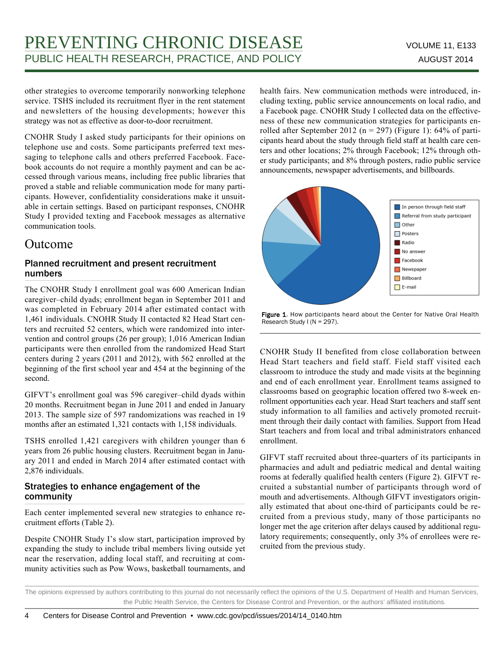other strategies to overcome temporarily nonworking telephone service. TSHS included its recruitment flyer in the rent statement and newsletters of the housing developments; however this strategy was not as effective as door-to-door recruitment.

CNOHR Study I asked study participants for their opinions on telephone use and costs. Some participants preferred text messaging to telephone calls and others preferred Facebook. Facebook accounts do not require a monthly payment and can be accessed through various means, including free public libraries that proved a stable and reliable communication mode for many participants. However, confidentiality considerations make it unsuitable in certain settings. Based on participant responses, CNOHR Study I provided texting and Facebook messages as alternative communication tools.

### Outcome

### Planned recruitment and present recruitment numbers

The CNOHR Study I enrollment goal was 600 American Indian caregiver–child dyads; enrollment began in September 2011 and was completed in February 2014 after estimated contact with 1,461 individuals. CNOHR Study II contacted 82 Head Start centers and recruited 52 centers, which were randomized into intervention and control groups (26 per group); 1,016 American Indian participants were then enrolled from the randomized Head Start centers during 2 years (2011 and 2012), with 562 enrolled at the beginning of the first school year and 454 at the beginning of the second.

GIFVT's enrollment goal was 596 caregiver–child dyads within 20 months. Recruitment began in June 2011 and ended in January 2013. The sample size of 597 randomizations was reached in 19 months after an estimated 1,321 contacts with 1,158 individuals.

TSHS enrolled 1,421 caregivers with children younger than 6 years from 26 public housing clusters. Recruitment began in January 2011 and ended in March 2014 after estimated contact with 2,876 individuals.

### Strategies to enhance engagement of the community

Each center implemented several new strategies to enhance recruitment efforts (Table 2).

Despite CNOHR Study I's slow start, participation improved by expanding the study to include tribal members living outside yet near the reservation, adding local staff, and recruiting at community activities such as Pow Wows, basketball tournaments, and health fairs. New communication methods were introduced, including texting, public service announcements on local radio, and a Facebook page. CNOHR Study I collected data on the effectiveness of these new communication strategies for participants enrolled after September 2012 ( $n = 297$ ) (Figure 1): 64% of participants heard about the study through field staff at health care centers and other locations; 2% through Facebook; 12% through other study participants; and 8% through posters, radio public service announcements, newspaper advertisements, and billboards.



Figure 1. How participants heard about the Center for Native Oral Health Research Study I (N = 297).

CNOHR Study II benefited from close collaboration between Head Start teachers and field staff. Field staff visited each classroom to introduce the study and made visits at the beginning and end of each enrollment year. Enrollment teams assigned to classrooms based on geographic location offered two 8-week enrollment opportunities each year. Head Start teachers and staff sent study information to all families and actively promoted recruitment through their daily contact with families. Support from Head Start teachers and from local and tribal administrators enhanced enrollment.

GIFVT staff recruited about three-quarters of its participants in pharmacies and adult and pediatric medical and dental waiting rooms at federally qualified health centers (Figure 2). GIFVT recruited a substantial number of participants through word of mouth and advertisements. Although GIFVT investigators originally estimated that about one-third of participants could be recruited from a previous study, many of those participants no longer met the age criterion after delays caused by additional regulatory requirements; consequently, only 3% of enrollees were recruited from the previous study.

The opinions expressed by authors contributing to this journal do not necessarily reflect the opinions of the U.S. Department of Health and Human Services, the Public Health Service, the Centers for Disease Control and Prevention, or the authors' affiliated institutions.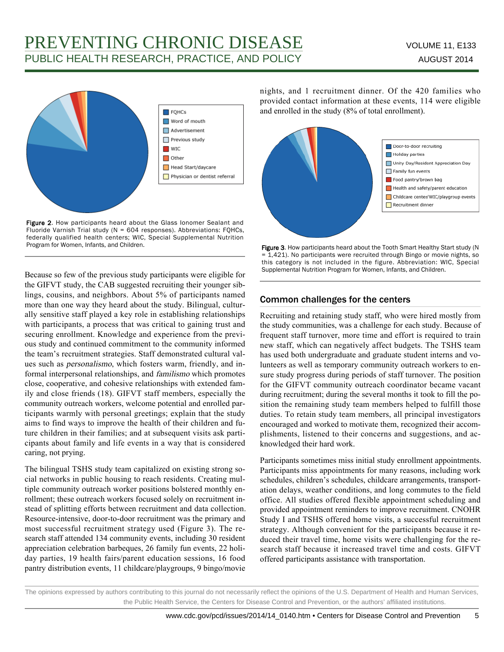

Figure 2. How participants heard about the Glass lonomer Sealant and Fluoride Varnish Trial study (N = 604 responses). Abbreviations: FQHCs, federally qualified health centers; WIC, Special Supplemental Nutrition Program for Women, Infants, and Children.

Because so few of the previous study participants were eligible for the GIFVT study, the CAB suggested recruiting their younger siblings, cousins, and neighbors. About 5% of participants named more than one way they heard about the study. Bilingual, culturally sensitive staff played a key role in establishing relationships with participants, a process that was critical to gaining trust and securing enrollment. Knowledge and experience from the previous study and continued commitment to the community informed the team's recruitment strategies. Staff demonstrated cultural values such as personalismo, which fosters warm, friendly, and informal interpersonal relationships, and *familismo* which promotes close, cooperative, and cohesive relationships with extended family and close friends (18). GIFVT staff members, especially the community outreach workers, welcome potential and enrolled participants warmly with personal greetings; explain that the study aims to find ways to improve the health of their children and future children in their families; and at subsequent visits ask participants about family and life events in a way that is considered caring, not prying.

The bilingual TSHS study team capitalized on existing strong social networks in public housing to reach residents. Creating multiple community outreach worker positions bolstered monthly enrollment; these outreach workers focused solely on recruitment instead of splitting efforts between recruitment and data collection. Resource-intensive, door-to-door recruitment was the primary and most successful recruitment strategy used (Figure 3). The research staff attended 134 community events, including 30 resident appreciation celebration barbeques, 26 family fun events, 22 holiday parties, 19 health fairs/parent education sessions, 16 food pantry distribution events, 11 childcare/playgroups, 9 bingo/movie

nights, and 1 recruitment dinner. Of the 420 families who provided contact information at these events, 114 were eligible and enrolled in the study (8% of total enrollment).



Figure 3. How participants heard about the Tooth Smart Healthy Start study (N = 1,421). No participants were recruited through Bingo or movie nights, so this category is not included in the figure. Abbreviation: WIC, Special Supplemental Nutrition Program for Women, Infants, and Children.

#### Common challenges for the centers

Recruiting and retaining study staff, who were hired mostly from the study communities, was a challenge for each study. Because of frequent staff turnover, more time and effort is required to train new staff, which can negatively affect budgets. The TSHS team has used both undergraduate and graduate student interns and volunteers as well as temporary community outreach workers to ensure study progress during periods of staff turnover. The position for the GIFVT community outreach coordinator became vacant during recruitment; during the several months it took to fill the position the remaining study team members helped to fulfill those duties. To retain study team members, all principal investigators encouraged and worked to motivate them, recognized their accomplishments, listened to their concerns and suggestions, and acknowledged their hard work.

Participants sometimes miss initial study enrollment appointments. Participants miss appointments for many reasons, including work schedules, children's schedules, childcare arrangements, transportation delays, weather conditions, and long commutes to the field office. All studies offered flexible appointment scheduling and provided appointment reminders to improve recruitment. CNOHR Study I and TSHS offered home visits, a successful recruitment strategy. Although convenient for the participants because it reduced their travel time, home visits were challenging for the research staff because it increased travel time and costs. GIFVT offered participants assistance with transportation.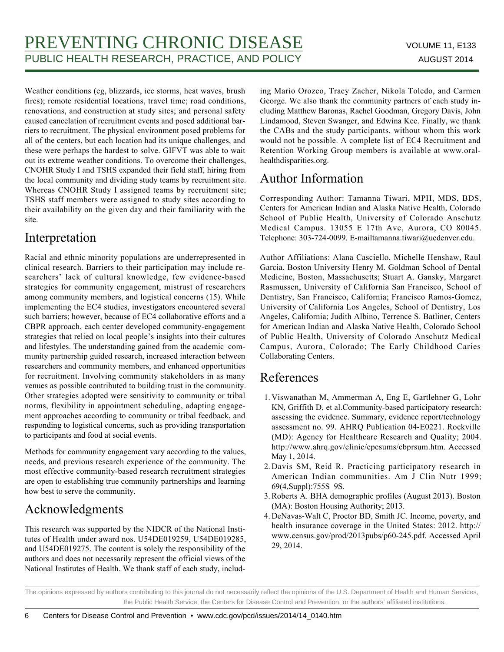Weather conditions (eg, blizzards, ice storms, heat waves, brush fires); remote residential locations, travel time; road conditions, renovations, and construction at study sites; and personal safety caused cancelation of recruitment events and posed additional barriers to recruitment. The physical environment posed problems for all of the centers, but each location had its unique challenges, and these were perhaps the hardest to solve. GIFVT was able to wait out its extreme weather conditions. To overcome their challenges, CNOHR Study I and TSHS expanded their field staff, hiring from the local community and dividing study teams by recruitment site. Whereas CNOHR Study I assigned teams by recruitment site; TSHS staff members were assigned to study sites according to their availability on the given day and their familiarity with the site.

## Interpretation

Racial and ethnic minority populations are underrepresented in clinical research. Barriers to their participation may include researchers' lack of cultural knowledge, few evidence-based strategies for community engagement, mistrust of researchers among community members, and logistical concerns (15). While implementing the EC4 studies, investigators encountered several such barriers; however, because of EC4 collaborative efforts and a CBPR approach, each center developed community-engagement strategies that relied on local people's insights into their cultures and lifestyles. The understanding gained from the academic–community partnership guided research, increased interaction between researchers and community members, and enhanced opportunities for recruitment. Involving community stakeholders in as many venues as possible contributed to building trust in the community. Other strategies adopted were sensitivity to community or tribal norms, flexibility in appointment scheduling, adapting engagement approaches according to community or tribal feedback, and responding to logistical concerns, such as providing transportation to participants and food at social events.

Methods for community engagement vary according to the values, needs, and previous research experience of the community. The most effective community-based research recruitment strategies are open to establishing true community partnerships and learning how best to serve the community.

# Acknowledgments

This research was supported by the NIDCR of the National Institutes of Health under award nos. U54DE019259, U54DE019285, and U54DE019275. The content is solely the responsibility of the authors and does not necessarily represent the official views of the National Institutes of Health. We thank staff of each study, including Mario Orozco, Tracy Zacher, Nikola Toledo, and Carmen George. We also thank the community partners of each study including Matthew Baronas, Rachel Goodman, Gregory Davis, John Lindamood, Steven Swanger, and Edwina Kee. Finally, we thank the CABs and the study participants, without whom this work would not be possible. A complete list of EC4 Recruitment and Retention Working Group members is available at www.oralhealthdisparities.org.

# Author Information

Corresponding Author: Tamanna Tiwari, MPH, MDS, BDS, Centers for American Indian and Alaska Native Health, Colorado School of Public Health, University of Colorado Anschutz Medical Campus. 13055 E 17th Ave, Aurora, CO 80045. Telephone: 303-724-0099. E-mailtamanna.tiwari@ucdenver.edu.

Author Affiliations: Alana Casciello, Michelle Henshaw, Raul Garcia, Boston University Henry M. Goldman School of Dental Medicine, Boston, Massachusetts; Stuart A. Gansky, Margaret Rasmussen, University of California San Francisco, School of Dentistry, San Francisco, California; Francisco Ramos-Gomez, University of California Los Angeles, School of Dentistry, Los Angeles, California; Judith Albino, Terrence S. Batliner, Centers for American Indian and Alaska Native Health, Colorado School of Public Health, University of Colorado Anschutz Medical Campus, Aurora, Colorado; The Early Childhood Caries Collaborating Centers.

# References

- 1. Viswanathan M, Ammerman A, Eng E, Gartlehner G, Lohr KN, Griffith D, et al.Community-based participatory research: assessing the evidence. Summary, evidence report/technology assessment no. 99. AHRQ Publication 04-E0221. Rockville (MD): Agency for Healthcare Research and Quality; 2004. http://www.ahrq.gov/clinic/epcsums/cbprsum.htm. Accessed May 1, 2014.
- 2. Davis SM, Reid R. Practicing participatory research in American Indian communities. Am J Clin Nutr 1999; 69(4,Suppl):755S–9S.
- 3. Roberts A. BHA demographic profiles (August 2013). Boston (MA): Boston Housing Authority; 2013.
- DeNavas-Walt C, Proctor BD, Smith JC. Income, poverty, and 4. health insurance coverage in the United States: 2012. http:// www.census.gov/prod/2013pubs/p60-245.pdf. Accessed April 29, 2014.

The opinions expressed by authors contributing to this journal do not necessarily reflect the opinions of the U.S. Department of Health and Human Services, the Public Health Service, the Centers for Disease Control and Prevention, or the authors' affiliated institutions.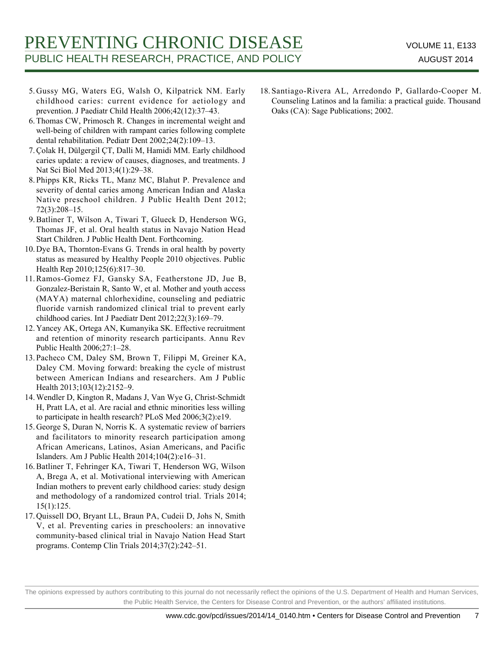- 5. Gussy MG, Waters EG, Walsh O, Kilpatrick NM. Early childhood caries: current evidence for aetiology and prevention. J Paediatr Child Health 2006;42(12):37–43.
- 6. Thomas CW, Primosch R. Changes in incremental weight and well-being of children with rampant caries following complete dental rehabilitation. Pediatr Dent 2002;24(2):109–13.
- 7. Çolak H, Dülgergil ÇT, Dalli M, Hamidi MM. Early childhood caries update: a review of causes, diagnoses, and treatments. J Nat Sci Biol Med 2013;4(1):29–38.
- 8. Phipps KR, Ricks TL, Manz MC, Blahut P. Prevalence and severity of dental caries among American Indian and Alaska Native preschool children. J Public Health Dent 2012; 72(3):208–15.
- 9. Batliner T, Wilson A, Tiwari T, Glueck D, Henderson WG, Thomas JF, et al. Oral health status in Navajo Nation Head Start Children. J Public Health Dent. Forthcoming.
- 10. Dye BA, Thornton-Evans G. Trends in oral health by poverty status as measured by Healthy People 2010 objectives. Public Health Rep 2010;125(6):817–30.
- 11. Ramos-Gomez FJ, Gansky SA, Featherstone JD, Jue B, Gonzalez-Beristain R, Santo W, et al. Mother and youth access (MAYA) maternal chlorhexidine, counseling and pediatric fluoride varnish randomized clinical trial to prevent early childhood caries. Int J Paediatr Dent 2012;22(3):169–79.
- 12. Yancey AK, Ortega AN, Kumanyika SK. Effective recruitment and retention of minority research participants. Annu Rev Public Health 2006;27:1–28.
- 13. Pacheco CM, Daley SM, Brown T, Filippi M, Greiner KA, Daley CM. Moving forward: breaking the cycle of mistrust between American Indians and researchers. Am J Public Health 2013;103(12):2152–9.
- 14. Wendler D, Kington R, Madans J, Van Wye G, Christ-Schmidt H, Pratt LA, et al. Are racial and ethnic minorities less willing to participate in health research? PLoS Med 2006;3(2):e19.
- 15. George S, Duran N, Norris K. A systematic review of barriers and facilitators to minority research participation among African Americans, Latinos, Asian Americans, and Pacific Islanders. Am J Public Health 2014;104(2):e16–31.
- 16. Batliner T, Fehringer KA, Tiwari T, Henderson WG, Wilson A, Brega A, et al. Motivational interviewing with American Indian mothers to prevent early childhood caries: study design and methodology of a randomized control trial. Trials 2014; 15(1):125.
- 17. Quissell DO, Bryant LL, Braun PA, Cudeii D, Johs N, Smith V, et al. Preventing caries in preschoolers: an innovative community-based clinical trial in Navajo Nation Head Start programs. Contemp Clin Trials 2014;37(2):242–51.

18. Santiago-Rivera AL, Arredondo P, Gallardo-Cooper M. Counseling Latinos and la familia: a practical guide. Thousand Oaks (CA): Sage Publications; 2002.

The opinions expressed by authors contributing to this journal do not necessarily reflect the opinions of the U.S. Department of Health and Human Services, the Public Health Service, the Centers for Disease Control and Prevention, or the authors' affiliated institutions.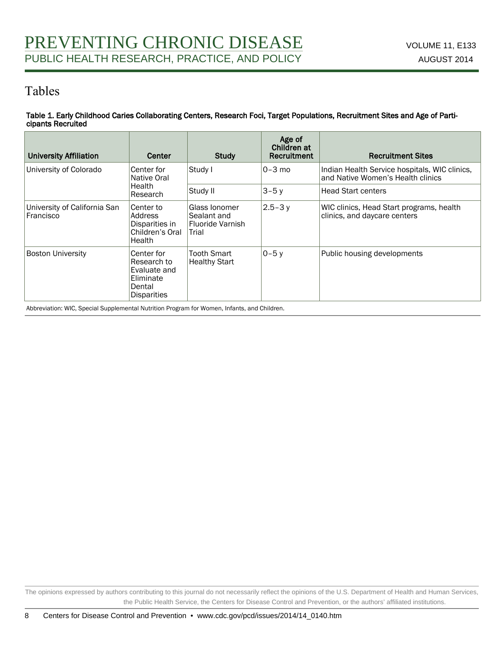### Tables

#### Table 1. Early Childhood Caries Collaborating Centers, Research Foci, Target Populations, Recruitment Sites and Age of Participants Recruited

| <b>University Affiliation</b>             | Center                                                                          | <b>Study</b>                                                | Age of<br>Children at<br><b>Recruitment</b> | <b>Recruitment Sites</b>                                                           |
|-------------------------------------------|---------------------------------------------------------------------------------|-------------------------------------------------------------|---------------------------------------------|------------------------------------------------------------------------------------|
| University of Colorado                    | Center for<br>Native Oral<br>Health<br>Research                                 | Study I                                                     | $0-3$ mo                                    | Indian Health Service hospitals, WIC clinics,<br>and Native Women's Health clinics |
|                                           |                                                                                 | Study II                                                    | $3-5y$                                      | <b>Head Start centers</b>                                                          |
| University of California San<br>Francisco | Center to<br>Address<br>Disparities in<br>Children's Oral<br>Health             | Glass Ionomer<br>Sealant and<br>l Fluoride Varnish<br>Trial | $2.5 - 3y$                                  | WIC clinics, Head Start programs, health<br>clinics, and daycare centers           |
| <b>Boston University</b>                  | Center for<br>Research to<br>Evaluate and<br>Eliminate<br>Dental<br>Disparities | Tooth Smart<br><b>Healthy Start</b>                         | $0-5y$                                      | Public housing developments                                                        |

Abbreviation: WIC, Special Supplemental Nutrition Program for Women, Infants, and Children.